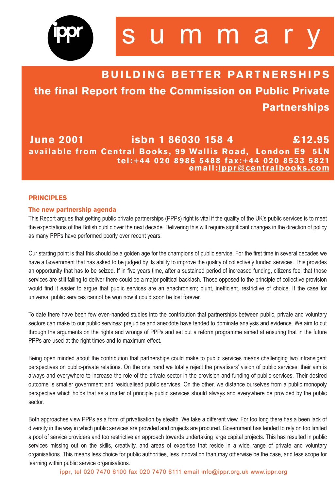

# **BUILDING BETTER PARTNERSHIPS the final Report from the Commission on Public Private Partnerships**

**June 2001 isbn 1 86030 158 4 £12.95 available from Central Books, 99 Wallis Road, London E9 5LN tel:+44 020 8986 5488 fax:+44 020 8533 5821 email:ippr@centralbooks .com**

# **PRINCIPLES**

## **The new partnership agenda**

This Report argues that getting public private partnerships (PPPs) right is vital if the quality of the UK's public services is to meet the expectations of the British public over the next decade. Delivering this will require significant changes in the direction of policy as many PPPs have performed poorly over recent years.

Our starting point is that this should be a golden age for the champions of public service. For the first time in several decades we have a Government that has asked to be judged by its ability to improve the quality of collectively funded services. This provides an opportunity that has to be seized. If in five years time, after a sustained period of increased funding, citizens feel that those services are still failing to deliver there could be a major political backlash. Those opposed to the principle of collective provision would find it easier to argue that public services are an anachronism; blunt, inefficient, restrictive of choice. If the case for universal public services cannot be won now it could soon be lost forever.

To date there have been few even-handed studies into the contribution that partnerships between public, private and voluntary sectors can make to our public services: prejudice and anecdote have tended to dominate analysis and evidence. We aim to cut through the arguments on the rights and wrongs of PPPs and set out a reform programme aimed at ensuring that in the future PPPs are used at the right times and to maximum effect.

Being open minded about the contribution that partnerships could make to public services means challenging two intransigent perspectives on public-private relations. On the one hand we totally reject the privatisers' vision of public services: their aim is always and everywhere to increase the role of the private sector in the provision and funding of public services. Their desired outcome is smaller government and residualised public services. On the other, we distance ourselves from a public monopoly perspective which holds that as a matter of principle public services should always and everywhere be provided by the public sector.

Both approaches view PPPs as a form of privatisation by stealth. We take a different view. For too long there has a been lack of diversity in the way in which public services are provided and projects are procured. Government has tended to rely on too limited a pool of service providers and too restrictive an approach towards undertaking large capital projects. This has resulted in public services missing out on the skills, creativity, and areas of expertise that reside in a wide range of private and voluntary organisations. This means less choice for public authorities, less innovation than may otherwise be the case, and less scope for learning within public service organisations.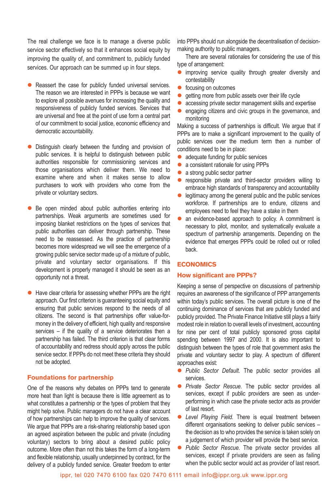The real challenge we face is to manage a diverse public service sector effectively so that it enhances social equity by improving the quality of, and commitment to, publicly funded services. Our approach can be summed up in four steps.

- Reassert the case for publicly funded universal services. The reason we are interested in PPPs is because we want to explore all possible avenues for increasing the quality and responsiveness of publicly funded services. Services that are universal and free at the point of use form a central part of our commitment to social justice, economic efficiency and democratic accountability.
- Distinguish clearly between the funding and provision of public services. It is helpful to distinguish between public authorities responsible for commissioning services and those organisations which deliver them. We need to examine where and when it makes sense to allow purchasers to work with providers who come from the private or voluntary sectors.
- Be open minded about public authorities entering into partnerships. Weak arguments are sometimes used for imposing blanket restrictions on the types of services that public authorities can deliver through partnership. These need to be reassessed. As the practice of partnership becomes more widespread we will see the emergence of a growing public service sector made up of a mixture of public, private and voluntary sector organisations. If this development is properly managed it should be seen as an opportunity not a threat.
- Have clear criteria for assessing whether PPPs are the right approach. Our first criterion is guaranteeing social equity and ensuring that public services respond to the needs of all citizens. The second is that partnerships offer value-formoney in the delivery of efficient, high quality and responsive services – if the quality of a service deteriorates then a partnership has failed. The third criterion is that clear forms of accountability and redress should apply across the public service sector. If PPPs do not meet these criteria they should not be adopted.

#### **Foundations for partnership**

One of the reasons why debates on PPPs tend to generate more heat than light is because there is little agreement as to what constitutes a partnership or the types of problem that they might help solve. Public managers do not have a clear account of how partnerships can help to improve the quality of services. We argue that PPPs are a risk-sharing relationship based upon an agreed aspiration between the public and private (including voluntary) sectors to bring about a desired public policy outcome. More often than not this takes the form of a long-term and flexible relationship, usually underpinned by contract, for the delivery of a publicly funded service. Greater freedom to enter

into PPPs should run alongside the decentralisation of decisionmaking authority to public managers.

There are several rationales for considering the use of this type of arrangement:

- **•** improving service quality through greater diversity and contestability
- focusing on outcomes
- getting more from public assets over their life cycle
- accessing private sector management skills and expertise
- engaging citizens and civic groups in the governance, and monitoring

Making a success of partnerships is difficult. We argue that if PPPs are to make a significant improvement to the quality of public services over the medium term then a number of conditions need to be in place:

- adequate funding for public services
- a consistent rationale for using PPPs
- $\bullet$  a strong public sector partner
- responsible private and third-sector providers willing to embrace high standards of transparency and accountability
- legitimacy among the general public and the public services workforce. If partnerships are to endure, citizens and employees need to feel they have a stake in them
- an evidence-based approach to policy. A commitment is necessary to pilot, monitor, and systematically evaluate a spectrum of partnership arrangements. Depending on the evidence that emerges PPPs could be rolled out or rolled back.

## **ECONOMICS**

## **How significant are PPPs?**

Keeping a sense of perspective on discussions of partnership requires an awareness of the significance of PPP arrangements within today's public services. The overall picture is one of the continuing dominance of services that are publicly funded and publicly provided. The Private Finance Initiative still plays a fairly modest role in relation to overall levels of investment, accounting for nine per cent of total publicly sponsored gross capital spending between 1997 and 2000. It is also important to distinguish between the types of role that government asks the private and voluntary sector to play. A spectrum of different approaches exist:

- **•** Public Sector Default. The public sector provides all services.
- Private Sector Rescue. The public sector provides all services, except if public providers are seen as underperforming in which case the private sector acts as provider of last resort.
- Level Playing Field. There is equal treatment between different organisations seeking to deliver public services – the decision as to who provides the service is taken solely on a judgement of which provider will provide the best service.
- **•** Public Sector Rescue. The private sector provides all services, except if private providers are seen as failing when the public sector would act as provider of last resort.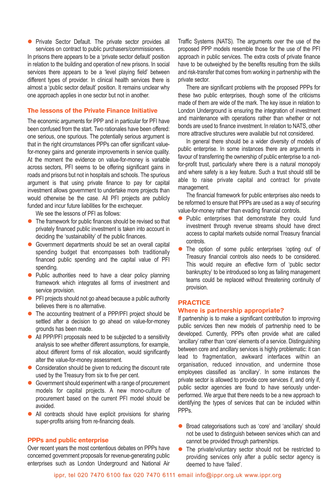**•** Private Sector Default. The private sector provides all services on contract to public purchasers/commissioners. In prisons there appears to be a 'private sector default' position in relation to the building and operation of new prisons. In social services there appears to be a 'level playing field' between different types of provider. In clinical health services there is almost a 'public sector default' position. It remains unclear why one approach applies in one sector but not in another.

## **The lessons of the Private Finance Initiative**

The economic arguments for PPP and in particular for PFI have been confused from the start. Two rationales have been offered: one serious, one spurious. The potentially serious argument is that in the right circumstances PPPs can offer significant valuefor-money gains and generate improvements in service quality. At the moment the evidence on value-for-money is variable across sectors, PFI seems to be offering significant gains in roads and prisons but not in hospitals and schools. The spurious argument is that using private finance to pay for capital investment allows government to undertake more projects than would otherwise be the case. All PFI projects are publicly funded and incur future liabilities for the exchequer.

We see the lessons of PFI as follows:

- The framework for public finances should be revised so that privately financed public investment is taken into account in deciding the 'sustainability' of the public finances.
- Government departments should be set an overall capital spending budget that encompasses both traditionally financed public spending and the capital value of PFI spending.
- Public authorities need to have a clear policy planning framework which integrates all forms of investment and service provision.
- **•** PFI projects should not go ahead because a public authority believes there is no alternative.
- The accounting treatment of a PPP/PFI project should be settled after a decision to go ahead on value-for-money grounds has been made.
- All PPP/PFI proposals need to be subjected to a sensitivity analysis to see whether different assumptions, for example, about different forms of risk allocation, would significantly alter the value-for-money assessment.
- Consideration should be given to reducing the discount rate used by the Treasury from six to five per cent.
- $\bullet$  Government should experiment with a range of procurement models for capital projects. A new mono-culture of procurement based on the current PFI model should be avoided.
- All contracts should have explicit provisions for sharing super-profits arising from re-financing deals.

#### **PPPs and public enterprise**

Over recent years the most contentious debates on PPPs have concerned government proposals for revenue-generating public enterprises such as London Underground and National Air

Traffic Systems (NATS). The arguments over the use of the proposed PPP models resemble those for the use of the PFI approach in public services. The extra costs of private finance have to be outweighed by the benefits resulting from the skills and risk-transfer that comes from working in partnership with the private sector.

There are significant problems with the proposed PPPs for these two public enterprises, though some of the criticisms made of them are wide of the mark. The key issue in relation to London Underground is ensuring the integration of investment and maintenance with operations rather than whether or not bonds are used to finance investment. In relation to NATS, other more attractive structures were available but not considered.

In general there should be a wider diversity of models of public enterprise. In some instances there are arguments in favour of transferring the ownership of public enterprise to a notfor-profit trust, particularly where there is a natural monopoly and where safety is a key feature. Such a trust should still be able to raise private capital and contract for private management.

The financial framework for public enterprises also needs to be reformed to ensure that PPPs are used as a way of securing value-for-money rather than evading financial controls.

- Public enterprises that demonstrate they could fund investment through revenue streams should have direct access to capital markets outside normal Treasury financial controls.
- The option of some public enterprises 'opting out' of Treasury financial controls also needs to be considered. This would require an effective form of 'public sector bankruptcy' to be introduced so long as failing management teams could be replaced without threatening continuity of provision.

#### **PRACTICE**

#### **Where is partnership appropriate?**

If partnership is to make a significant contribution to improving public services then new models of partnership need to be developed. Currently, PPPs often provide what are called 'ancillary' rather than 'core' elements of a service. Distinguishing between core and ancillary services is highly problematic: it can lead to fragmentation, awkward interfaces within an organisation, reduced innovation, and undermine those employees classified as 'ancillary'. In some instances the private sector is allowed to provide core services if, and only if, public sector agencies are found to have seriously underperformed. We argue that there needs to be a new approach to identifying the types of services that can be included within PPPs.

- Broad categorisations such as 'core' and 'ancillary' should not be used to distinguish between services which can and cannot be provided through partnerships.
- The private/voluntary sector should not be restricted to providing services only after a public sector agency is deemed to have 'failed'.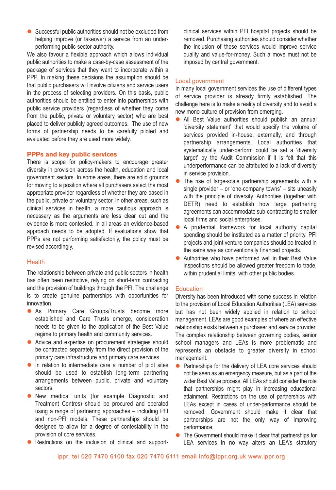Successful public authorities should not be excluded from helping improve (or takeover) a service from an underperforming public sector authority.

We also favour a flexible approach which allows individual public authorities to make a case-by-case assessment of the package of services that they want to incorporate within a PPP. In making these decisions the assumption should be that public purchasers will involve citizens and service users in the process of selecting providers. On this basis, public authorities should be entitled to enter into partnerships with public service providers (regardless of whether they come from the public, private or voluntary sector) who are best placed to deliver publicly agreed outcomes. The use of new forms of partnership needs to be carefully piloted and evaluated before they are used more widely.

## **PPPs and key public services**

There is scope for policy-makers to encourage greater diversity in provision across the health, education and local government sectors. In some areas, there are solid grounds for moving to a position where all purchasers select the most appropriate provider regardless of whether they are based in the public, private or voluntary sector. In other areas, such as clinical services in health, a more cautious approach is necessary as the arguments are less clear cut and the evidence is more contested. In all areas an evidence-based approach needs to be adopted. If evaluations show that PPPs are not performing satisfactorily, the policy must be revised accordingly.

## **Health**

The relationship between private and public sectors in health has often been restrictive, relying on short-term contracting and the provision of buildings through the PFI. The challenge is to create genuine partnerships with opportunities for innovation.

- As Primary Care Groups/Trusts become more established and Care Trusts emerge, consideration needs to be given to the application of the Best Value regime to primary health and community services.
- Advice and expertise on procurement strategies should be contracted separately from the direct provision of the primary care infrastructure and primary care services.
- $\bullet$  In relation to intermediate care a number of pilot sites should be used to establish long-term partnering arrangements between public, private and voluntary sectors.
- New medical units (for example Diagnostic and Treatment Centres) should be procured and operated using a range of partnering approaches – including PFI and non-PFI models. These partnerships should be designed to allow for a degree of contestability in the provision of core services.
- Restrictions on the inclusion of clinical and support-

clinical services within PFI hospital projects should be removed. Purchasing authorities should consider whether the inclusion of these services would improve service quality and value-for-money. Such a move must not be imposed by central government.

#### Local government

In many local government services the use of different types of service provider is already firmly established. The challenge here is to make a reality of diversity and to avoid a new mono-culture of provision from emerging.

- All Best Value authorities should publish an annual 'diversity statement' that would specify the volume of services provided in-house, externally, and through partnership arrangements. Local authorities that systematically under-perform could be set a 'diversity target' by the Audit Commission if it is felt that this underperformance can be attributed to a lack of diversity in service provision.
- The rise of large-scale partnership agreements with a single provider – or 'one-company towns' – sits uneasily with the principle of diversity. Authorities (together with DETR) need to establish how large partnering agreements can accommodate sub-contracting to smaller local firms and social enterprises.
- A prudential framework for local authority capital spending should be instituted as a matter of priority. PFI projects and joint venture companies should be treated in the same way as conventionally financed projects.
- Authorities who have performed well in their Best Value inspections should be allowed greater freedom to trade, within prudential limits, with other public bodies.

#### **Education**

Diversity has been introduced with some success in relation to the provision of Local Education Authorities (LEA) services but has not been widely applied in relation to school management. LEAs are good examples of where an effective relationship exists between a purchaser and service provider. The complex relationship between governing bodies, senior school managers and LEAs is more problematic and represents an obstacle to greater diversity in school management.

- Partnerships for the delivery of LEA core services should not be seen as an emergency measure, but as a part of the wider Best Value process. All LEAs should consider the role that partnerships might play in increasing educational attainment. Restrictions on the use of partnerships with LEAs except in cases of under-performance should be removed. Government should make it clear that partnerships are not the only way of improving performance.
- The Government should make it clear that partnerships for LEA services in no way alters an LEA's statutory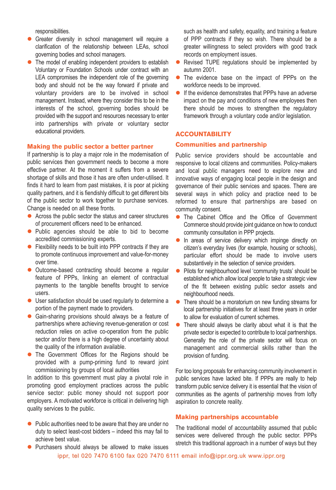responsibilities.

- **•** Greater diversity in school management will require a clarification of the relationship between LEAs, school governing bodies and school managers.
- $\bullet$  The model of enabling independent providers to establish Voluntary or Foundation Schools under contract with an LEA compromises the independent role of the governing body and should not be the way forward if private and voluntary providers are to be involved in school management. Instead, where they consider this to be in the interests of the school, governing bodies should be provided with the support and resources necessary to enter into partnerships with private or voluntary sector educational providers.

#### **Making the public sector a better partner**

If partnership is to play a major role in the modernisation of public services then government needs to become a more effective partner. At the moment it suffers from a severe shortage of skills and those it has are often under-utilised. It finds it hard to learn from past mistakes, it is poor at picking quality partners, and it is fiendishly difficult to get different bits of the public sector to work together to purchase services. Change is needed on all these fronts.

- $\bullet$  Across the public sector the status and career structures of procurement officers need to be enhanced.
- Public agencies should be able to bid to become accredited commissioning experts.
- Flexibility needs to be built into PPP contracts if they are to promote continuous improvement and value-for-money over time.
- Outcome-based contracting should become a regular feature of PPPs, linking an element of contractual payments to the tangible benefits brought to service users.
- $\bullet$  User satisfaction should be used regularly to determine a portion of the payment made to providers.
- Gain-sharing provisions should always be a feature of partnerships where achieving revenue-generation or cost reduction relies on active co-operation from the public sector and/or there is a high degree of uncertainty about the quality of the information available.
- The Government Offices for the Regions should be provided with a pump-priming fund to reward joint commissioning by groups of local authorities

In addition to this government must play a pivotal role in promoting good employment practices across the public service sector: public money should not support poor employers. A motivated workforce is critical in delivering high quality services to the public.

- Public authorities need to be aware that they are under no duty to select least-cost bidders – indeed this may fail to achieve best value.
- **•** Purchasers should always be allowed to make issues

such as health and safety, equality, and training a feature of PPP contracts if they so wish. There should be a greater willingness to select providers with good track records on employment issues.

- Revised TUPE regulations should be implemented by autumn 2001.
- The evidence base on the impact of PPPs on the workforce needs to be improved.
- If the evidence demonstrates that PPPs have an adverse impact on the pay and conditions of new employees then there should be moves to strengthen the regulatory framework through a voluntary code and/or legislation.

## **ACCOUNTABILITY**

#### **Communities and partnership**

Public service providers should be accountable and responsive to local citizens and communities. Policy-makers and local public managers need to explore new and innovative ways of engaging local people in the design and governance of their public services and spaces. There are several ways in which policy and practice need to be reformed to ensure that partnerships are based on community consent.

- The Cabinet Office and the Office of Government Commerce should provide joint guidance on how to conduct community consultation in PPP projects.
- In areas of service delivery which impinge directly on citizen's everyday lives (for example, housing or schools), particular effort should be made to involve users substantively in the selection of service providers.
- Pilots for neighbourhood level 'community trusts' should be established which allow local people to take a strategic view of the fit between existing public sector assets and neighbourhood needs.
- There should be a moratorium on new funding streams for local partnership initiatives for at least three years in order to allow for evaluation of current schemes.
- There should always be clarity about what it is that the private sector is expected to contribute to local partnerships. Generally the role of the private sector will focus on management and commercial skills rather than the provision of funding.

For too long proposals for enhancing community involvement in public services have lacked bite. If PPPs are really to help transform public service delivery it is essential that the vision of communities as the agents of partnership moves from lofty aspiration to concrete reality.

## **Making partnerships accountable**

The traditional model of accountability assumed that public services were delivered through the public sector. PPPs stretch this traditional approach in a number of ways but they